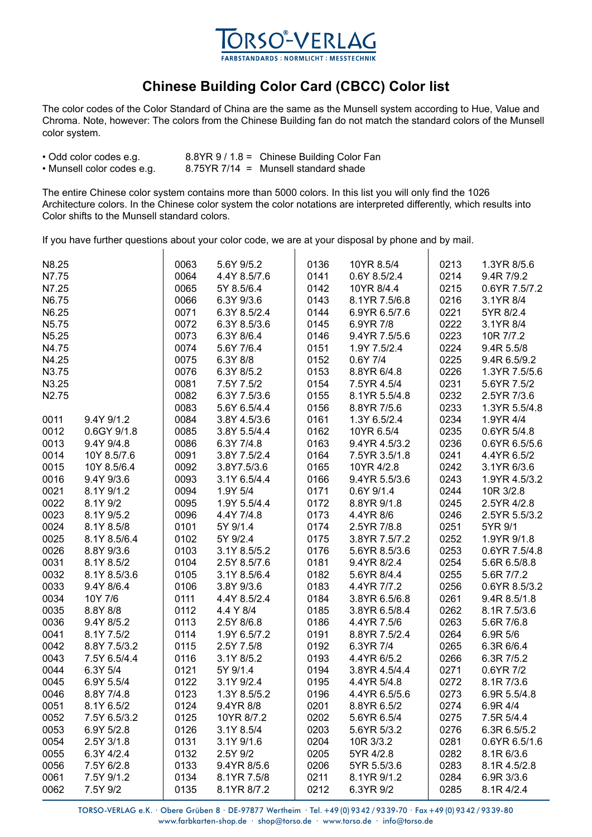

## **Chinese Building Color Card (CBCC) Color list**

The color codes of the Color Standard of China are the same as the Munsell system according to Hue, Value and Chroma. Note, however: The colors from the Chinese Building fan do not match the standard colors of the Munsell color system.

| • Odd color codes e.g.     | 8.8YR 9 / 1.8 = Chinese Building Color Fan |
|----------------------------|--------------------------------------------|
| • Munsell color codes e.g. | $8.75YR$ 7/14 = Munsell standard shade     |

The entire Chinese color system contains more than 5000 colors. In this list you will only find the 1026 Architecture colors. In the Chinese color system the color notations are interpreted differently, which results into Color shifts to the Munsell standard colors.

If you have further questions about your color code, we are at your disposal by phone and by mail.

| N8.25<br>N7.75<br>N7.25<br>N6.75<br>N6.25<br>N5.75<br>N5.25<br>N4.75<br>N4.25<br>N3.75<br>N3.25<br>N2.75                                                                                                                 | 0063<br>0064<br>0065<br>0066<br>0071<br>0072<br>0073<br>0074<br>0075<br>0076<br>0081<br>0082 | 5.6Y 9/5.2<br>4.4Y 8.5/7.6<br>5Y 8.5/6.4<br>6.3Y 9/3.6<br>6.3Y 8.5/2.4<br>6.3Y 8.5/3.6<br>6.3Y 8/6.4<br>5.6Y 7/6.4<br>6.3Y 8/8<br>6.3Y 8/5.2<br>7.5Y 7.5/2<br>6.3Y 7.5/3.6 | 0136<br>0141<br>0142<br>0143<br>0144<br>0145<br>0146<br>0151<br>0152<br>0153<br>0154<br>0155 | 10YR 8.5/4<br>0.6Y 8.5/2.4<br>10YR 8/4.4<br>8.1YR 7.5/6.8<br>6.9YR 6.5/7.6<br>6.9YR 7/8<br>9.4YR 7.5/5.6<br>1.9Y 7.5/2.4<br>0.6Y 7/4<br>8.8YR 6/4.8<br>7.5YR 4.5/4<br>8.1YR 5.5/4.8 | 0213<br>0214<br>0215<br>0216<br>0221<br>0222<br>0223<br>0224<br>0225<br>0226<br>0231<br>0232 | 1.3YR 8/5.6<br>9.4R 7/9.2<br>0.6YR 7.5/7.2<br>3.1YR 8/4<br>5YR 8/2.4<br>3.1YR 8/4<br>10R 7/7.2<br>9.4R 5.5/8<br>9.4R 6.5/9.2<br>1.3YR 7.5/5.6<br>5.6YR 7.5/2<br>2.5YR 7/3.6 |
|--------------------------------------------------------------------------------------------------------------------------------------------------------------------------------------------------------------------------|----------------------------------------------------------------------------------------------|----------------------------------------------------------------------------------------------------------------------------------------------------------------------------|----------------------------------------------------------------------------------------------|-------------------------------------------------------------------------------------------------------------------------------------------------------------------------------------|----------------------------------------------------------------------------------------------|-----------------------------------------------------------------------------------------------------------------------------------------------------------------------------|
| 9.4Y 9/1.2<br>0011<br>0012<br>0.6GY 9/1.8<br>0013<br>9.4Y 9/4.8<br>0014<br>10Y 8.5/7.6<br>0015<br>10Y 8.5/6.4<br>0016<br>9.4Y 9/3.6<br>0021<br>8.1Y 9/1.2                                                                | 0083<br>0084<br>0085<br>0086<br>0091<br>0092<br>0093<br>0094                                 | 5.6Y 6.5/4.4<br>3.8Y 4.5/3.6<br>3.8Y 5.5/4.4<br>6.3Y 7/4.8<br>3.8Y 7.5/2.4<br>3.8Y7.5/3.6<br>3.1Y 6.5/4.4<br>1.9Y 5/4                                                      | 0156<br>0161<br>0162<br>0163<br>0164<br>0165<br>0166<br>0171                                 | 8.8YR 7/5.6<br>1.3Y 6.5/2.4<br>10YR 6.5/4<br>9.4YR 4.5/3.2<br>7.5YR 3.5/1.8<br>10YR 4/2.8<br>9.4YR 5.5/3.6<br>0.6Y 9/1.4                                                            | 0233<br>0234<br>0235<br>0236<br>0241<br>0242<br>0243<br>0244                                 | 1.3YR 5.5/4.8<br>1.9YR 4/4<br>0.6YR 5/4.8<br>0.6YR 6.5/5.6<br>4.4YR 6.5/2<br>3.1YR 6/3.6<br>1.9YR 4.5/3.2<br>10R 3/2.8                                                      |
| 0022<br>8.1Y 9/2<br>0023<br>8.1Y 9/5.2<br>0024<br>8.1Y 8.5/8<br>0025<br>8.1Y 8.5/6.4<br>0026<br>8.8Y 9/3.6<br>0031<br>8.1Y 8.5/2<br>0032<br>8.1Y 8.5/3.6                                                                 | 0095<br>0096<br>0101<br>0102<br>0103<br>0104<br>0105                                         | 1.9Y 5.5/4.4<br>4.4Y 7/4.8<br>5Y 9/1.4<br>5Y 9/2.4<br>3.1Y 8.5/5.2<br>2.5Y 8.5/7.6<br>3.1Y 8.5/6.4                                                                         | 0172<br>0173<br>0174<br>0175<br>0176<br>0181<br>0182                                         | 8.8YR 9/1.8<br>4.4YR 8/6<br>2.5YR 7/8.8<br>3.8YR 7.5/7.2<br>5.6YR 8.5/3.6<br>9.4YR 8/2.4<br>5.6YR 8/4.4                                                                             | 0245<br>0246<br>0251<br>0252<br>0253<br>0254<br>0255                                         | 2.5YR 4/2.8<br>2.5YR 5.5/3.2<br>5YR 9/1<br>1.9YR 9/1.8<br>0.6YR 7.5/4.8<br>5.6R 6.5/8.8<br>5.6R 7/7.2                                                                       |
| 0033<br>9.4Y 8/6.4<br>0034<br>10Y 7/6<br>0035<br>8.8Y 8/8<br>0036<br>9.4Y 8/5.2<br>0041<br>8.1Y 7.5/2<br>0042<br>8.8Y 7.5/3.2<br>0043<br>7.5Y 6.5/4.4<br>0044<br>6.3Y 5/4                                                | 0106<br>0111<br>0112<br>0113<br>0114<br>0115<br>0116<br>0121                                 | 3.8Y 9/3.6<br>4.4Y 8.5/2.4<br>4.4 Y 8/4<br>2.5Y 8/6.8<br>1.9Y 6.5/7.2<br>2.5Y 7.5/8<br>3.1Y 8/5.2<br>5Y 9/1.4                                                              | 0183<br>0184<br>0185<br>0186<br>0191<br>0192<br>0193<br>0194                                 | 4.4YR 7/7.2<br>3.8YR 6.5/6.8<br>3.8YR 6.5/8.4<br>4.4YR 7.5/6<br>8.8YR 7.5/2.4<br>6.3YR 7/4<br>4.4YR 6/5.2<br>3.8YR 4.5/4.4                                                          | 0256<br>0261<br>0262<br>0263<br>0264<br>0265<br>0266<br>0271                                 | 0.6YR 8.5/3.2<br>9.4R 8.5/1.8<br>8.1R 7.5/3.6<br>5.6R 7/6.8<br>6.9R 5/6<br>6.3R 6/6.4<br>6.3R 7/5.2<br>0.6YR 7/2                                                            |
| 0045<br>6.9Y 5.5/4<br>0046<br>8.8Y 7/4.8<br>0051<br>8.1Y 6.5/2<br>0052<br>7.5Y 6.5/3.2<br>0053<br>6.9Y 5/2.8<br>0054<br>2.5Y 3/1.8<br>0055<br>6.3Y 4/2.4<br>0056<br>7.5Y 6/2.8<br>0061<br>7.5Y 9/1.2<br>0062<br>7.5Y 9/2 | 0122<br>0123<br>0124<br>0125<br>0126<br>0131<br>0132<br>0133<br>0134<br>0135                 | 3.1Y 9/2.4<br>1.3Y 8.5/5.2<br>9.4YR 8/8<br>10YR 8/7.2<br>3.1Y 8.5/4<br>3.1Y 9/1.6<br>2.5Y 9/2<br>9.4YR 8/5.6<br>8.1YR 7.5/8                                                | 0195<br>0196<br>0201<br>0202<br>0203<br>0204<br>0205<br>0206<br>0211<br>0212                 | 4.4YR 5/4.8<br>4.4YR 6.5/5.6<br>8.8YR 6.5/2<br>5.6YR 6.5/4<br>5.6YR 5/3.2<br>10R 3/3.2<br>5YR 4/2.8<br>5YR 5.5/3.6<br>8.1YR 9/1.2<br>6.3YR 9/2                                      | 0272<br>0273<br>0274<br>0275<br>0276<br>0281<br>0282<br>0283<br>0284<br>0285                 | 8.1R 7/3.6<br>6.9R 5.5/4.8<br>6.9R 4/4<br>7.5R 5/4.4<br>6.3R 6.5/5.2<br>0.6YR 6.5/1.6<br>8.1R 6/3.6<br>8.1R 4.5/2.8<br>6.9R 3/3.6                                           |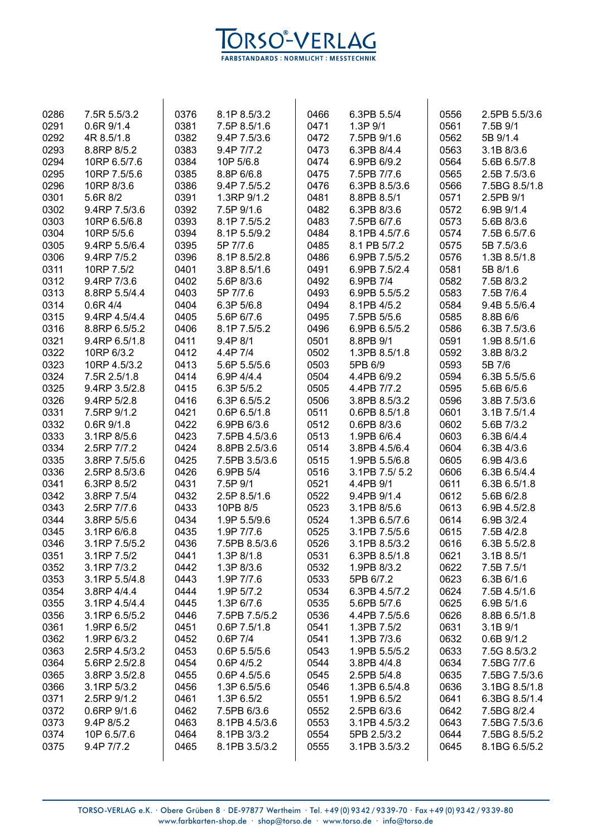

| 0286 | 7.5R 5.5/3.2   | 0376 | 8.1P 8.5/3.2                | 0466 | 6.3PB 5.5/4    | 0556 | 2.5PB 5.5/3.6 |
|------|----------------|------|-----------------------------|------|----------------|------|---------------|
| 0291 | 0.6R 9/1.4     | 0381 | 7.5P 8.5/1.6                | 0471 | 1.3P 9/1       | 0561 | 7.5B 9/1      |
| 0292 | 4R 8.5/1.8     | 0382 | 9.4P 7.5/3.6                | 0472 | 7.5PB 9/1.6    | 0562 | 5B 9/1.4      |
| 0293 | 8.8RP 8/5.2    | 0383 | 9.4P 7/7.2                  | 0473 | 6.3PB 8/4.4    | 0563 | 3.1B 8/3.6    |
| 0294 | 10RP 6.5/7.6   | 0384 | 10P 5/6.8                   | 0474 | 6.9PB 6/9.2    | 0564 | 5.6B 6.5/7.8  |
| 0295 | 10RP 7.5/5.6   | 0385 | 8.8P 6/6.8                  | 0475 | 7.5PB 7/7.6    | 0565 | 2.5B 7.5/3.6  |
| 0296 | 10RP 8/3.6     | 0386 | 9.4P 7.5/5.2                | 0476 | 6.3PB 8.5/3.6  | 0566 | 7.5BG 8.5/1.8 |
| 0301 | 5.6R 8/2       | 0391 | 1.3RP 9/1.2                 | 0481 | 8.8PB 8.5/1    | 0571 | 2.5PB 9/1     |
| 0302 | 9.4RP 7.5/3.6  | 0392 | 7.5P 9/1.6                  | 0482 | 6.3PB 8/3.6    | 0572 | 6.9B 9/1.4    |
| 0303 | 10RP 6.5/6.8   | 0393 | 8.1P 7.5/5.2                | 0483 | 7.5PB 6/7.6    | 0573 | 5.6B 8/3.6    |
| 0304 | 10RP 5/5.6     | 0394 | 8.1P 5.5/9.2                | 0484 | 8.1PB 4.5/7.6  | 0574 | 7.5B 6.5/7.6  |
| 0305 | 9.4RP 5.5/6.4  | 0395 | 5P 7/7.6                    | 0485 | 8.1 PB 5/7.2   | 0575 | 5B 7.5/3.6    |
|      |                |      |                             | 0486 |                | 0576 |               |
| 0306 | 9.4RP 7/5.2    | 0396 | 8.1P 8.5/2.8                |      | 6.9PB 7.5/5.2  |      | 1.3B 8.5/1.8  |
| 0311 | 10RP 7.5/2     | 0401 | 3.8P 8.5/1.6                | 0491 | 6.9PB 7.5/2.4  | 0581 | 5B 8/1.6      |
| 0312 | 9.4RP 7/3.6    | 0402 | 5.6P 8/3.6                  | 0492 | 6.9PB 7/4      | 0582 | 7.5B 8/3.2    |
| 0313 | 8.8RP 5.5/4.4  | 0403 | 5P 7/7.6                    | 0493 | 6.9PB 5.5/5.2  | 0583 | 7.5B 7/6.4    |
| 0314 | $0.6R$ 4/4     | 0404 | 6.3P 5/6.8                  | 0494 | 8.1PB 4/5.2    | 0584 | 9.4B 5.5/6.4  |
| 0315 | 9.4RP 4.5/4.4  | 0405 | 5.6P 6/7.6                  | 0495 | 7.5PB 5/5.6    | 0585 | 8.8B 6/6      |
| 0316 | 8.8RP 6.5/5.2  | 0406 | 8.1P 7.5/5.2                | 0496 | 6.9PB 6.5/5.2  | 0586 | 6.3B 7.5/3.6  |
| 0321 | 9.4RP 6.5/1.8  | 0411 | 9.4P 8/1                    | 0501 | 8.8PB 9/1      | 0591 | 1.9B 8.5/1.6  |
| 0322 | 10RP 6/3.2     | 0412 | 4.4P 7/4                    | 0502 | 1.3PB 8.5/1.8  | 0592 | 3.8B 8/3.2    |
| 0323 | 10RP 4.5/3.2   | 0413 | 5.6P 5.5/5.6                | 0503 | 5PB 6/9        | 0593 | 5B 7/6        |
| 0324 | 7.5R 2.5/1.8   | 0414 | 6.9P 4/4.4                  | 0504 | 4.4PB 6/9.2    | 0594 | 6.3B 5.5/5.6  |
| 0325 | 9.4RP 3.5/2.8  | 0415 | 6.3P 5/5.2                  | 0505 | 4.4PB 7/7.2    | 0595 | 5.6B 6/5.6    |
| 0326 | 9.4RP 5/2.8    | 0416 | 6.3P 6.5/5.2                | 0506 | 3.8PB 8.5/3.2  | 0596 | 3.8B 7.5/3.6  |
| 0331 | 7.5RP 9/1.2    | 0421 | 0.6P 6.5/1.8                | 0511 | 0.6PB 8.5/1.8  | 0601 | 3.1B 7.5/1.4  |
| 0332 | $0.6R$ $9/1.8$ | 0422 | 6.9PB 6/3.6                 | 0512 | 0.6PB 8/3.6    | 0602 | 5.6B 7/3.2    |
| 0333 | 3.1RP 8/5.6    | 0423 | 7.5PB 4.5/3.6               | 0513 | 1.9PB 6/6.4    | 0603 | 6.3B 6/4.4    |
| 0334 | 2.5RP 7/7.2    | 0424 | 8.8PB 2.5/3.6               | 0514 | 3.8PB 4.5/6.4  | 0604 | 6.3B 4/3.6    |
| 0335 | 3.8RP 7.5/5.6  | 0425 | 7.5PB 3.5/3.6               | 0515 | 1.9PB 5.5/6.8  | 0605 | 6.9B 4/3.6    |
| 0336 | 2.5RP 8.5/3.6  | 0426 | 6.9PB 5/4                   | 0516 | 3.1PB 7.5/ 5.2 | 0606 | 6.3B 6.5/4.4  |
| 0341 | 6.3RP 8.5/2    | 0431 | 7.5P 9/1                    | 0521 | 4.4PB 9/1      | 0611 | 6.3B 6.5/1.8  |
| 0342 | 3.8RP 7.5/4    | 0432 | 2.5P 8.5/1.6                | 0522 | 9.4PB 9/1.4    | 0612 | 5.6B 6/2.8    |
| 0343 | 2.5RP 7/7.6    | 0433 | 10PB 8/5                    | 0523 | 3.1PB 8/5.6    | 0613 | 6.9B 4.5/2.8  |
| 0344 | 3.8RP 5/5.6    | 0434 | 1.9P 5.5/9.6                | 0524 | 1.3PB 6.5/7.6  | 0614 | 6.9B 3/2.4    |
| 0345 | 3.1RP 6/6.8    | 0435 | 1.9P 7/7.6                  | 0525 | 3.1PB 7.5/5.6  | 0615 | 7.5B 4/2.8    |
| 0346 | 3.1RP 7.5/5.2  | 0436 | 7.5PB 8.5/3.6               | 0526 | 3.1PB 8.5/3.2  | 0616 | 6.3B 5.5/2.8  |
| 0351 | 3.1RP 7.5/2    | 0441 | 1.3P 8/1.8                  | 0531 | 6.3PB 8.5/1.8  | 0621 | 3.1B 8.5/1    |
| 0352 | 3.1RP 7/3.2    | 0442 | 1.3P 8/3.6                  | 0532 | 1.9PB 8/3.2    | 0622 | 7.5B 7.5/1    |
| 0353 | 3.1RP 5.5/4.8  | 0443 | 1.9P 7/7.6                  | 0533 | 5PB 6/7.2      | 0623 | 6.3B 6/1.6    |
| 0354 | 3.8RP 4/4.4    | 0444 | 1.9P 5/7.2                  | 0534 | 6.3PB 4.5/7.2  | 0624 | 7.5B 4.5/1.6  |
|      | 3.1RP 4.5/4.4  | 0445 |                             | 0535 | 5.6PB 5/7.6    | 0625 |               |
| 0355 | 3.1RP 6.5/5.2  |      | 1.3P 6/7.6<br>7.5PB 7.5/5.2 |      |                |      | 6.9B 5/1.6    |
| 0356 |                | 0446 |                             | 0536 | 4.4PB 7.5/5.6  | 0626 | 8.8B 6.5/1.8  |
| 0361 | 1.9RP 6.5/2    | 0451 | $0.6P$ $7.5/1.8$            | 0541 | 1.3PB 7.5/2    | 0631 | 3.1B 9/1      |
| 0362 | 1.9RP 6/3.2    | 0452 | $0.6P$ 7/4                  | 0541 | 1.3PB 7/3.6    | 0632 | 0.6B 9/1.2    |
| 0363 | 2.5RP 4.5/3.2  | 0453 | 0.6P 5.5/5.6                | 0543 | 1.9PB 5.5/5.2  | 0633 | 7.5G 8.5/3.2  |
| 0364 | 5.6RP 2.5/2.8  | 0454 | $0.6P$ 4/5.2                | 0544 | 3.8PB 4/4.8    | 0634 | 7.5BG 7/7.6   |
| 0365 | 3.8RP 3.5/2.8  | 0455 | $0.6P$ 4.5/5.6              | 0545 | 2.5PB 5/4.8    | 0635 | 7.5BG 7.5/3.6 |
| 0366 | 3.1RP 5/3.2    | 0456 | 1.3P 6.5/5.6                | 0546 | 1.3PB 6.5/4.8  | 0636 | 3.1BG 8.5/1.8 |
| 0371 | 2.5RP 9/1.2    | 0461 | 1.3P 6.5/2                  | 0551 | 1.9PB 6.5/2    | 0641 | 6.3BG 8.5/1.4 |
| 0372 | 0.6RP 9/1.6    | 0462 | 7.5PB 6/3.6                 | 0552 | 2.5PB 6/3.6    | 0642 | 7.5BG 8/2.4   |
| 0373 | 9.4P 8/5.2     | 0463 | 8.1PB 4.5/3.6               | 0553 | 3.1PB 4.5/3.2  | 0643 | 7.5BG 7.5/3.6 |
| 0374 | 10P 6.5/7.6    | 0464 | 8.1PB 3/3.2                 | 0554 | 5PB 2.5/3.2    | 0644 | 7.5BG 8.5/5.2 |
| 0375 | 9.4P 7/7.2     | 0465 | 8.1PB 3.5/3.2               | 0555 | 3.1PB 3.5/3.2  | 0645 | 8.1BG 6.5/5.2 |
|      |                |      |                             |      |                |      |               |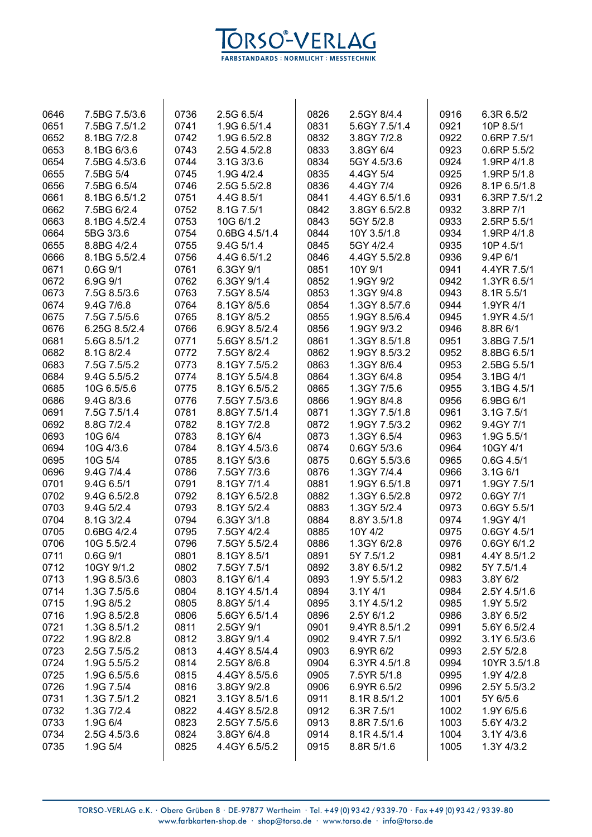

| 0646 | 7.5BG 7.5/3.6 | 0736 | 2.5G 6.5/4    | 0826 | 2.5GY 8/4.4   | 0916 | 6.3R 6.5/2       |
|------|---------------|------|---------------|------|---------------|------|------------------|
| 0651 | 7.5BG 7.5/1.2 | 0741 | 1.9G 6.5/1.4  | 0831 | 5.6GY 7.5/1.4 | 0921 | 10P 8.5/1        |
| 0652 | 8.1BG 7/2.8   | 0742 | 1.9G 6.5/2.8  | 0832 | 3.8GY 7/2.8   | 0922 | 0.6RP 7.5/1      |
| 0653 | 8.1BG 6/3.6   | 0743 | 2.5G 4.5/2.8  | 0833 | 3.8GY 6/4     | 0923 | $0.6$ RP $5.5/2$ |
| 0654 | 7.5BG 4.5/3.6 | 0744 | 3.1G 3/3.6    | 0834 | 5GY 4.5/3.6   | 0924 | 1.9RP 4/1.8      |
| 0655 | 7.5BG 5/4     | 0745 | 1.9G 4/2.4    | 0835 | 4.4GY 5/4     | 0925 | 1.9RP 5/1.8      |
| 0656 | 7.5BG 6.5/4   | 0746 | 2.5G 5.5/2.8  | 0836 | 4.4GY 7/4     | 0926 | 8.1P 6.5/1.8     |
| 0661 | 8.1BG 6.5/1.2 | 0751 | 4.4G 8.5/1    | 0841 | 4.4GY 6.5/1.6 | 0931 | 6.3RP 7.5/1.2    |
| 0662 | 7.5BG 6/2.4   | 0752 | 8.1G 7.5/1    | 0842 | 3.8GY 6.5/2.8 | 0932 | 3.8RP 7/1        |
| 0663 | 8.1BG 4.5/2.4 |      | 10G 6/1.2     | 0843 | 5GY 5/2.8     | 0933 |                  |
|      |               | 0753 |               |      |               |      | 2.5RP 5.5/1      |
| 0664 | 5BG 3/3.6     | 0754 | 0.6BG 4.5/1.4 | 0844 | 10Y 3.5/1.8   | 0934 | 1.9RP 4/1.8      |
| 0655 | 8.8BG 4/2.4   | 0755 | 9.4G 5/1.4    | 0845 | 5GY 4/2.4     | 0935 | 10P 4.5/1        |
| 0666 | 8.1BG 5.5/2.4 | 0756 | 4.4G 6.5/1.2  | 0846 | 4.4GY 5.5/2.8 | 0936 | 9.4P 6/1         |
| 0671 | $0.6G$ $9/1$  | 0761 | 6.3GY 9/1     | 0851 | 10Y 9/1       | 0941 | 4.4YR 7.5/1      |
| 0672 | 6.9G 9/1      | 0762 | 6.3GY 9/1.4   | 0852 | 1.9GY 9/2     | 0942 | 1.3YR 6.5/1      |
| 0673 | 7.5G 8.5/3.6  | 0763 | 7.5GY 8.5/4   | 0853 | 1.3GY 9/4.8   | 0943 | 8.1R 5.5/1       |
| 0674 | 9.4G 7/6.8    | 0764 | 8.1GY 8/5.6   | 0854 | 1.3GY 8.5/7.6 | 0944 | 1.9YR 4/1        |
| 0675 | 7.5G 7.5/5.6  | 0765 | 8.1GY 8/5.2   | 0855 | 1.9GY 8.5/6.4 | 0945 | 1.9YR 4.5/1      |
| 0676 | 6.25G 8.5/2.4 | 0766 | 6.9GY 8.5/2.4 | 0856 | 1.9GY 9/3.2   | 0946 | 8.8R 6/1         |
| 0681 | 5.6G 8.5/1.2  | 0771 | 5.6GY 8.5/1.2 | 0861 | 1.3GY 8.5/1.8 | 0951 | 3.8BG 7.5/1      |
| 0682 | 8.1G 8/2.4    | 0772 | 7.5GY 8/2.4   | 0862 | 1.9GY 8.5/3.2 | 0952 | 8.8BG 6.5/1      |
| 0683 | 7.5G 7.5/5.2  | 0773 | 8.1GY 7.5/5.2 | 0863 | 1.3GY 8/6.4   | 0953 | 2.5BG 5.5/1      |
| 0684 | 9.4G 5.5/5.2  | 0774 | 8.1GY 5.5/4.8 | 0864 | 1.3GY 6/4.8   | 0954 | 3.1BG 4/1        |
| 0685 | 10G 6.5/5.6   | 0775 | 8.1GY 6.5/5.2 | 0865 | 1.3GY 7/5.6   | 0955 | 3.1BG 4.5/1      |
| 0686 | 9.4G 8/3.6    | 0776 | 7.5GY 7.5/3.6 | 0866 | 1.9GY 8/4.8   | 0956 | 6.9BG 6/1        |
| 0691 | 7.5G 7.5/1.4  | 0781 | 8.8GY 7.5/1.4 | 0871 | 1.3GY 7.5/1.8 | 0961 | 3.1G 7.5/1       |
| 0692 | 8.8G 7/2.4    | 0782 | 8.1GY 7/2.8   | 0872 | 1.9GY 7.5/3.2 | 0962 | 9.4GY 7/1        |
| 0693 | 10G 6/4       | 0783 | 8.1GY 6/4     | 0873 | 1.3GY 6.5/4   | 0963 | 1.9G 5.5/1       |
| 0694 | 10G 4/3.6     | 0784 | 8.1GY 4.5/3.6 | 0874 | 0.6GY 5/3.6   | 0964 | 10GY 4/1         |
| 0695 | 10G 5/4       | 0785 | 8.1GY 5/3.6   | 0875 | 0.6GY 5.5/3.6 | 0965 | $0.6G$ 4.5/1     |
| 0696 | 9.4G 7/4.4    | 0786 | 7.5GY 7/3.6   | 0876 | 1.3GY 7/4.4   | 0966 | 3.1G 6/1         |
| 0701 | 9.4G 6.5/1    | 0791 | 8.1GY 7/1.4   | 0881 | 1.9GY 6.5/1.8 | 0971 | 1.9GY 7.5/1      |
| 0702 | 9.4G 6.5/2.8  | 0792 | 8.1GY 6.5/2.8 | 0882 | 1.3GY 6.5/2.8 | 0972 | 0.6GY 7/1        |
| 0703 | 9.4G 5/2.4    | 0793 | 8.1GY 5/2.4   | 0883 | 1.3GY 5/2.4   | 0973 | 0.6GY 5.5/1      |
| 0704 | 8.1G 3/2.4    | 0794 | 6.3GY 3/1.8   | 0884 | 8.8Y 3.5/1.8  | 0974 | 1.9GY 4/1        |
| 0705 | 0.6BG 4/2.4   | 0795 | 7.5GY 4/2.4   | 0885 | 10Y 4/2       | 0975 | 0.6GY 4.5/1      |
| 0706 | 10G 5.5/2.4   | 0796 | 7.5GY 5.5/2.4 | 0886 | 1.3GY 6/2.8   | 0976 | $0.6$ GY 6/1.2   |
| 0711 | $0.6G$ $9/1$  | 0801 | 8.1GY 8.5/1   | 0891 | 5Y 7.5/1.2    | 0981 | 4.4Y 8.5/1.2     |
| 0712 | 10GY 9/1.2    | 0802 | 7.5GY 7.5/1   | 0892 | 3.8Y 6.5/1.2  | 0982 | 5Y 7.5/1.4       |
| 0713 | 1.9G 8.5/3.6  | 0803 | 8.1GY 6/1.4   | 0893 | 1.9Y 5.5/1.2  | 0983 | 3.8Y 6/2         |
| 0714 | 1.3G 7.5/5.6  | 0804 | 8.1GY 4.5/1.4 | 0894 | $3.1Y$ 4/1    | 0984 | 2.5Y 4.5/1.6     |
|      | 1.9G 8/5.2    |      |               |      |               |      |                  |
| 0715 |               | 0805 | 8.8GY 5/1.4   | 0895 | 3.1Y 4.5/1.2  | 0985 | 1.9Y 5.5/2       |
| 0716 | 1.9G 8.5/2.8  | 0806 | 5.6GY 6.5/1.4 | 0896 | 2.5Y 6/1.2    | 0986 | 3.8Y 6.5/2       |
| 0721 | 1.3G 8.5/1.2  | 0811 | 2.5GY 9/1     | 0901 | 9.4YR 8.5/1.2 | 0991 | 5.6Y 6.5/2.4     |
| 0722 | 1.9G 8/2.8    | 0812 | 3.8GY 9/1.4   | 0902 | 9.4YR 7.5/1   | 0992 | 3.1Y 6.5/3.6     |
| 0723 | 2.5G 7.5/5.2  | 0813 | 4.4GY 8.5/4.4 | 0903 | 6.9YR 6/2     | 0993 | 2.5Y 5/2.8       |
| 0724 | 1.9G 5.5/5.2  | 0814 | 2.5GY 8/6.8   | 0904 | 6.3YR 4.5/1.8 | 0994 | 10YR 3.5/1.8     |
| 0725 | 1.9G 6.5/5.6  | 0815 | 4.4GY 8.5/5.6 | 0905 | 7.5YR 5/1.8   | 0995 | 1.9Y 4/2.8       |
| 0726 | 1.9G 7.5/4    | 0816 | 3.8GY 9/2.8   | 0906 | 6.9YR 6.5/2   | 0996 | 2.5Y 5.5/3.2     |
| 0731 | 1.3G 7.5/1.2  | 0821 | 3.1GY 8.5/1.6 | 0911 | 8.1R 8.5/1.2  | 1001 | 5Y 6/5.6         |
| 0732 | 1.3G 7/2.4    | 0822 | 4.4GY 8.5/2.8 | 0912 | 6.3R 7.5/1    | 1002 | 1.9Y 6/5.6       |
| 0733 | 1.9G 6/4      | 0823 | 2.5GY 7.5/5.6 | 0913 | 8.8R 7.5/1.6  | 1003 | 5.6Y 4/3.2       |
| 0734 | 2.5G 4.5/3.6  | 0824 | 3.8GY 6/4.8   | 0914 | 8.1R 4.5/1.4  | 1004 | 3.1Y 4/3.6       |
| 0735 | 1.9G 5/4      | 0825 | 4.4GY 6.5/5.2 | 0915 | 8.8R 5/1.6    | 1005 | 1.3Y 4/3.2       |
|      |               |      |               |      |               |      |                  |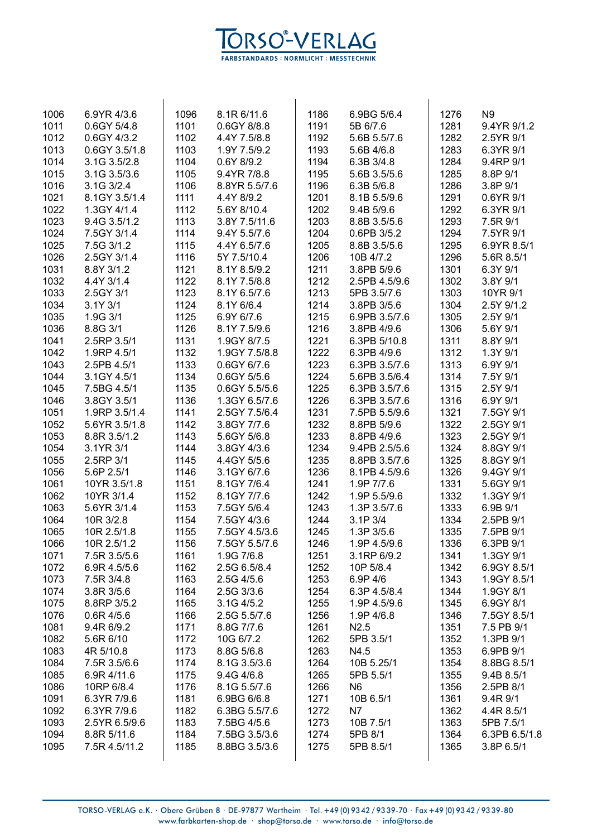

| 1006 | 6.9YR 4/3.6   | 1096 | 8.1R 6/11.6   | 1186 | 6.9BG 5/6.4              | 1276 | N <sub>9</sub> |
|------|---------------|------|---------------|------|--------------------------|------|----------------|
| 1011 | 0.6GY 5/4.8   | 1101 | 0.6GY 8/8.8   | 1191 | 5B 6/7.6                 | 1281 | 9.4YR 9/1.2    |
| 1012 | 0.6GY 4/3.2   | 1102 | 4.4Y 7.5/8.8  | 1192 | 5.6B 5.5/7.6             | 1282 | 2.5YR 9/1      |
| 1013 | 0.6GY 3.5/1.8 | 1103 | 1.9Y 7.5/9.2  | 1193 | 5.6B 4/6.8               | 1283 | 6.3YR 9/1      |
| 1014 | 3.1G 3.5/2.8  | 1104 | 0.6Y 8/9.2    | 1194 | 6.3B 3/4.8               | 1284 | 9.4RP 9/1      |
| 1015 | 3.1G 3.5/3.6  | 1105 | 9.4YR 7/8.8   | 1195 | 5.6B 3.5/5.6             | 1285 | 8.8P 9/1       |
| 1016 | 3.1G 3/2.4    | 1106 | 8.8YR 5.5/7.6 | 1196 | 6.3B 5/6.8               | 1286 | 3.8P 9/1       |
| 1021 | 8.1GY 3.5/1.4 | 1111 | 4.4Y 8/9.2    | 1201 | 8.1B 5.5/9.6             | 1291 | 0.6YR 9/1      |
| 1022 | 1.3GY 4/1.4   | 1112 | 5.6Y 8/10.4   | 1202 | 9.4B 5/9.6               | 1292 | 6.3YR 9/1      |
| 1023 | 9.4G 3.5/1.2  | 1113 | 3.8Y 7.5/11.6 | 1203 | 8.8B 3.5/5.6             | 1293 | 7.5R 9/1       |
| 1024 | 7.5GY 3/1.4   | 1114 | 9.4Y 5.5/7.6  | 1204 | 0.6PB 3/5.2              | 1294 | 7.5YR 9/1      |
|      |               |      |               |      |                          |      |                |
| 1025 | 7.5G 3/1.2    | 1115 | 4.4Y 6.5/7.6  | 1205 | 8.8B 3.5/5.6             | 1295 | 6.9YR 8.5/1    |
| 1026 | 2.5GY 3/1.4   | 1116 | 5Y 7.5/10.4   | 1206 | 10B 4/7.2                | 1296 | 5.6R 8.5/1     |
| 1031 | 8.8Y 3/1.2    | 1121 | 8.1Y 8.5/9.2  | 1211 | 3.8PB 5/9.6              | 1301 | 6.3Y 9/1       |
| 1032 | 4.4Y 3/1.4    | 1122 | 8.1Y 7.5/8.8  | 1212 | 2.5PB 4.5/9.6            | 1302 | 3.8Y 9/1       |
| 1033 | 2.5GY 3/1     | 1123 | 8.1Y 6.5/7.6  | 1213 | 5PB 3.5/7.6              | 1303 | 10YR 9/1       |
| 1034 | 3.1Y 3/1      | 1124 | 8.1Y 6/6.4    | 1214 | 3.8PB 3/5.6              | 1304 | 2.5Y 9/1.2     |
| 1035 | 1.9G 3/1      | 1125 | 6.9Y 6/7.6    | 1215 | 6.9PB 3.5/7.6            | 1305 | 2.5Y 9/1       |
| 1036 | 8.8G 3/1      | 1126 | 8.1Y 7.5/9.6  | 1216 | 3.8PB 4/9.6              | 1306 | 5.6Y 9/1       |
| 1041 | 2.5RP 3.5/1   | 1131 | 1.9GY 8/7.5   | 1221 | 6.3PB 5/10.8             | 1311 | 8.8Y 9/1       |
| 1042 | 1.9RP 4.5/1   | 1132 | 1.9GY 7.5/8.8 | 1222 | 6.3PB 4/9.6              | 1312 | 1.3Y 9/1       |
| 1043 | 2.5PB 4.5/1   | 1133 | 0.6GY 6/7.6   | 1223 | 6.3PB 3.5/7.6            | 1313 | 6.9Y 9/1       |
| 1044 | 3.1GY 4.5/1   | 1134 | 0.6GY 5/5.6   | 1224 | 5.6PB 3.5/6.4            | 1314 | 7.5Y 9/1       |
| 1045 | 7.5BG 4.5/1   | 1135 | 0.6GY 5.5/5.6 | 1225 | 6.3PB 3.5/7.6            | 1315 | 2.5Y 9/1       |
| 1046 | 3.8GY 3.5/1   | 1136 | 1.3GY 6.5/7.6 | 1226 | 6.3PB 3.5/7.6            | 1316 | 6.9Y 9/1       |
| 1051 | 1.9RP 3.5/1.4 | 1141 | 2.5GY 7.5/6.4 | 1231 | 7.5PB 5.5/9.6            | 1321 | 7.5GY 9/1      |
| 1052 | 5.6YR 3.5/1.8 | 1142 | 3.8GY 7/7.6   | 1232 | 8.8PB 5/9.6              | 1322 | 2.5GY 9/1      |
| 1053 | 8.8R 3.5/1.2  | 1143 | 5.6GY 5/6.8   | 1233 | 8.8PB 4/9.6              | 1323 | 2.5GY 9/1      |
| 1054 | 3.1YR 3/1     | 1144 | 3.8GY 4/3.6   | 1234 | 9.4PB 2.5/5.6            | 1324 | 8.8GY 9/1      |
| 1055 | 2.5RP 3/1     | 1145 | 4.4GY 5/5.6   | 1235 | 8.8PB 3.5/7.6            | 1325 | 8.8GY 9/1      |
| 1056 | 5.6P 2.5/1    | 1146 | 3.1GY 6/7.6   | 1236 | 8.1PB 4.5/9.6            | 1326 | 9.4GY 9/1      |
| 1061 | 10YR 3.5/1.8  | 1151 | 8.1GY 7/6.4   | 1241 | 1.9P 7/7.6               | 1331 | 5.6GY 9/1      |
| 1062 | 10YR 3/1.4    | 1152 | 8.1GY 7/7.6   | 1242 | 1.9P 5.5/9.6             | 1332 | 1.3GY 9/1      |
| 1063 | 5.6YR 3/1.4   | 1153 | 7.5GY 5/6.4   | 1243 | 1.3P 3.5/7.6             | 1333 | 6.9B 9/1       |
| 1064 | 10R 3/2.8     | 1154 | 7.5GY 4/3.6   | 1244 | 3.1P 3/4                 | 1334 | 2.5PB 9/1      |
| 1065 | 10R 2.5/1.8   | 1155 | 7.5GY 4.5/3.6 | 1245 | 1.3P 3/5.6               | 1335 | 7.5PB 9/1      |
|      |               |      |               |      |                          |      |                |
| 1066 | 10R 2.5/1.2   | 1156 | 7.5GY 5.5/7.6 | 1246 | 1.9P 4.5/9.6             | 1336 | 6.3PB 9/1      |
| 1071 | 7.5R 3.5/5.6  | 1161 | 1.9G 7/6.8    | 1251 | 3.1RP 6/9.2<br>10P 5/8.4 | 1341 | 1.3GY 9/1      |
| 1072 | 6.9R 4.5/5.6  | 1162 | 2.5G 6.5/8.4  | 1252 |                          | 1342 | 6.9GY 8.5/1    |
| 1073 | 7.5R 3/4.8    | 1163 | 2.5G 4/5.6    | 1253 | 6.9P 4/6                 | 1343 | 1.9GY 8.5/1    |
| 1074 | 3.8R 3/5.6    | 1164 | 2.5G 3/3.6    | 1254 | 6.3P 4.5/8.4             | 1344 | 1.9GY 8/1      |
| 1075 | 8.8RP 3/5.2   | 1165 | 3.1G 4/5.2    | 1255 | 1.9P 4.5/9.6             | 1345 | 6.9GY 8/1      |
| 1076 | $0.6R$ 4/5.6  | 1166 | 2.5G 5.5/7.6  | 1256 | 1.9P 4/6.8               | 1346 | 7.5GY 8.5/1    |
| 1081 | 9.4R 6/9.2    | 1171 | 8.8G 7/7.6    | 1261 | N2.5                     | 1351 | 7.5 PB 9/1     |
| 1082 | 5.6R 6/10     | 1172 | 10G 6/7.2     | 1262 | 5PB 3.5/1                | 1352 | 1.3PB 9/1      |
| 1083 | 4R 5/10.8     | 1173 | 8.8G 5/6.8    | 1263 | N4.5                     | 1353 | 6.9PB 9/1      |
| 1084 | 7.5R 3.5/6.6  | 1174 | 8.1G 3.5/3.6  | 1264 | 10B 5.25/1               | 1354 | 8.8BG 8.5/1    |
| 1085 | 6.9R 4/11.6   | 1175 | 9.4G 4/6.8    | 1265 | 5PB 5.5/1                | 1355 | 9.4B 8.5/1     |
| 1086 | 10RP 6/8.4    | 1176 | 8.1G 5.5/7.6  | 1266 | N <sub>6</sub>           | 1356 | 2.5PB 8/1      |
| 1091 | 6.3YR 7/9.6   | 1181 | 6.9BG 6/6.8   | 1271 | 10B 6.5/1                | 1361 | 9.4R 9/1       |
| 1092 | 6.3YR 7/9.6   | 1182 | 6.3BG 5.5/7.6 | 1272 | N7                       | 1362 | 4.4R 8.5/1     |
| 1093 | 2.5YR 6.5/9.6 | 1183 | 7.5BG 4/5.6   | 1273 | 10B 7.5/1                | 1363 | 5PB 7.5/1      |
| 1094 | 8.8R 5/11.6   | 1184 | 7.5BG 3.5/3.6 | 1274 | 5PB 8/1                  | 1364 | 6.3PB 6.5/1.8  |
| 1095 | 7.5R 4.5/11.2 | 1185 | 8.8BG 3.5/3.6 | 1275 | 5PB 8.5/1                | 1365 | 3.8P 6.5/1     |
|      |               |      |               |      |                          |      |                |